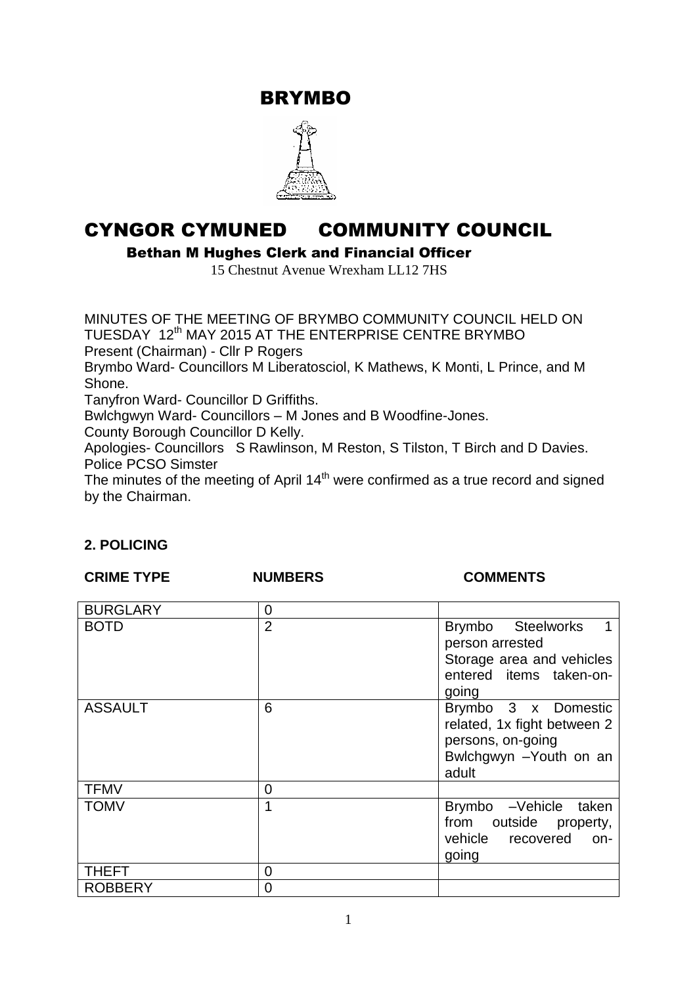BRYMBO



# CYNGOR CYMUNED COMMUNITY COUNCIL

Bethan M Hughes Clerk and Financial Officer

15 Chestnut Avenue Wrexham LL12 7HS

MINUTES OF THE MEETING OF BRYMBO COMMUNITY COUNCIL HELD ON TUESDAY 12<sup>th</sup> MAY 2015 AT THE ENTERPRISE CENTRE BRYMBO Present (Chairman) - Cllr P Rogers Brymbo Ward- Councillors M Liberatosciol, K Mathews, K Monti, L Prince, and M Shone. Tanyfron Ward- Councillor D Griffiths. Bwlchgwyn Ward- Councillors – M Jones and B Woodfine-Jones. County Borough Councillor D Kelly. Apologies- Councillors S Rawlinson, M Reston, S Tilston, T Birch and D Davies. Police PCSO Simster The minutes of the meeting of April  $14<sup>th</sup>$  were confirmed as a true record and signed

by the Chairman.

# **2. POLICING**

### **CRIME TYPE NUMBERS COMMENTS**

| <b>BURGLARY</b> | 0              |                                                                                                             |
|-----------------|----------------|-------------------------------------------------------------------------------------------------------------|
| <b>BOTD</b>     | $\overline{2}$ | Brymbo Steelworks<br>person arrested<br>Storage area and vehicles<br>entered items taken-on-<br>going       |
| <b>ASSAULT</b>  | 6              | Brymbo 3 x Domestic<br>related, 1x fight between 2<br>persons, on-going<br>Bwlchgwyn - Youth on an<br>adult |
| <b>TFMV</b>     | $\overline{0}$ |                                                                                                             |
| <b>TOMV</b>     | 1              | Brymbo -Vehicle<br>taken<br>from outside property,<br>vehicle recovered<br>on-<br>going                     |
| <b>THEFT</b>    | $\overline{0}$ |                                                                                                             |
| <b>ROBBERY</b>  | 0              |                                                                                                             |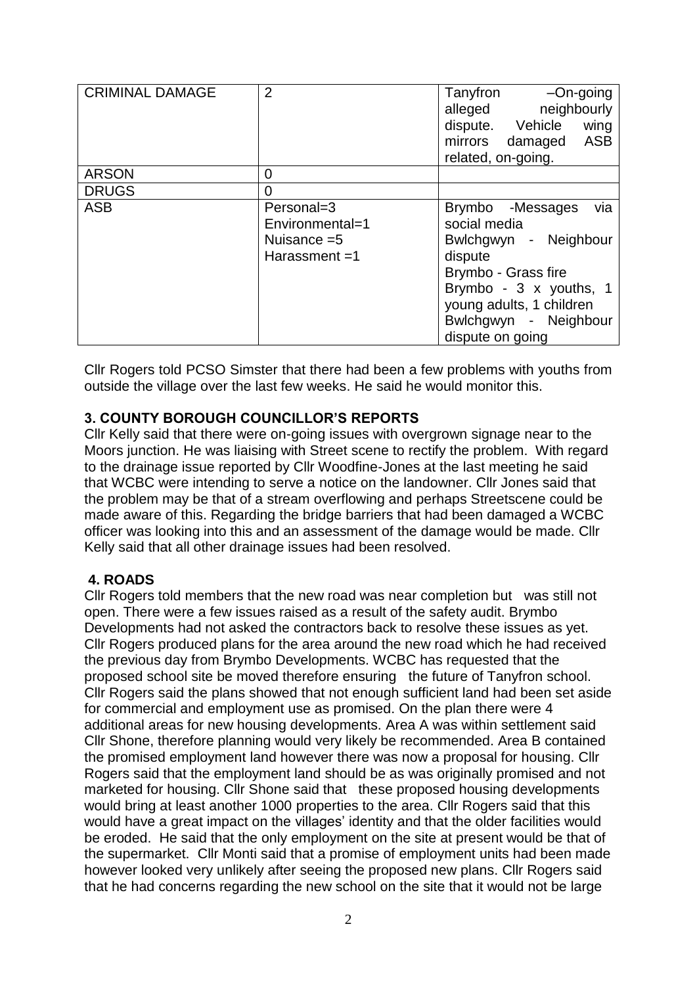| <b>CRIMINAL DAMAGE</b> | $\overline{2}$  | Tanyfron<br>$-On$ -going                      |  |
|------------------------|-----------------|-----------------------------------------------|--|
|                        |                 | neighbourly<br>alleged                        |  |
|                        |                 | dispute. Vehicle<br>wing                      |  |
|                        |                 | mirrors damaged<br><b>ASB</b>                 |  |
|                        |                 | related, on-going.                            |  |
| <b>ARSON</b>           | 0               |                                               |  |
| <b>DRUGS</b>           | 0               |                                               |  |
| <b>ASB</b>             | Personal=3      | Brymbo<br>-Messages<br>via                    |  |
|                        | Environmental=1 | social media<br>- Neighbour<br>Bwlchgwyn      |  |
|                        | Nuisance $=5$   |                                               |  |
|                        | Harassment $=1$ | dispute                                       |  |
|                        |                 | Brymbo - Grass fire<br>Brymbo - 3 x youths, 1 |  |
|                        |                 |                                               |  |
|                        |                 | young adults, 1 children                      |  |
|                        |                 | Bwlchgwyn - Neighbour                         |  |
|                        |                 | dispute on going                              |  |

Cllr Rogers told PCSO Simster that there had been a few problems with youths from outside the village over the last few weeks. He said he would monitor this.

# **3. COUNTY BOROUGH COUNCILLOR'S REPORTS**

Cllr Kelly said that there were on-going issues with overgrown signage near to the Moors junction. He was liaising with Street scene to rectify the problem. With regard to the drainage issue reported by Cllr Woodfine-Jones at the last meeting he said that WCBC were intending to serve a notice on the landowner. Cllr Jones said that the problem may be that of a stream overflowing and perhaps Streetscene could be made aware of this. Regarding the bridge barriers that had been damaged a WCBC officer was looking into this and an assessment of the damage would be made. Cllr Kelly said that all other drainage issues had been resolved.

#### **4. ROADS**

Cllr Rogers told members that the new road was near completion but was still not open. There were a few issues raised as a result of the safety audit. Brymbo Developments had not asked the contractors back to resolve these issues as yet. Cllr Rogers produced plans for the area around the new road which he had received the previous day from Brymbo Developments. WCBC has requested that the proposed school site be moved therefore ensuring the future of Tanyfron school. Cllr Rogers said the plans showed that not enough sufficient land had been set aside for commercial and employment use as promised. On the plan there were 4 additional areas for new housing developments. Area A was within settlement said Cllr Shone, therefore planning would very likely be recommended. Area B contained the promised employment land however there was now a proposal for housing. Cllr Rogers said that the employment land should be as was originally promised and not marketed for housing. Cllr Shone said that these proposed housing developments would bring at least another 1000 properties to the area. Cllr Rogers said that this would have a great impact on the villages' identity and that the older facilities would be eroded. He said that the only employment on the site at present would be that of the supermarket. Cllr Monti said that a promise of employment units had been made however looked very unlikely after seeing the proposed new plans. Cllr Rogers said that he had concerns regarding the new school on the site that it would not be large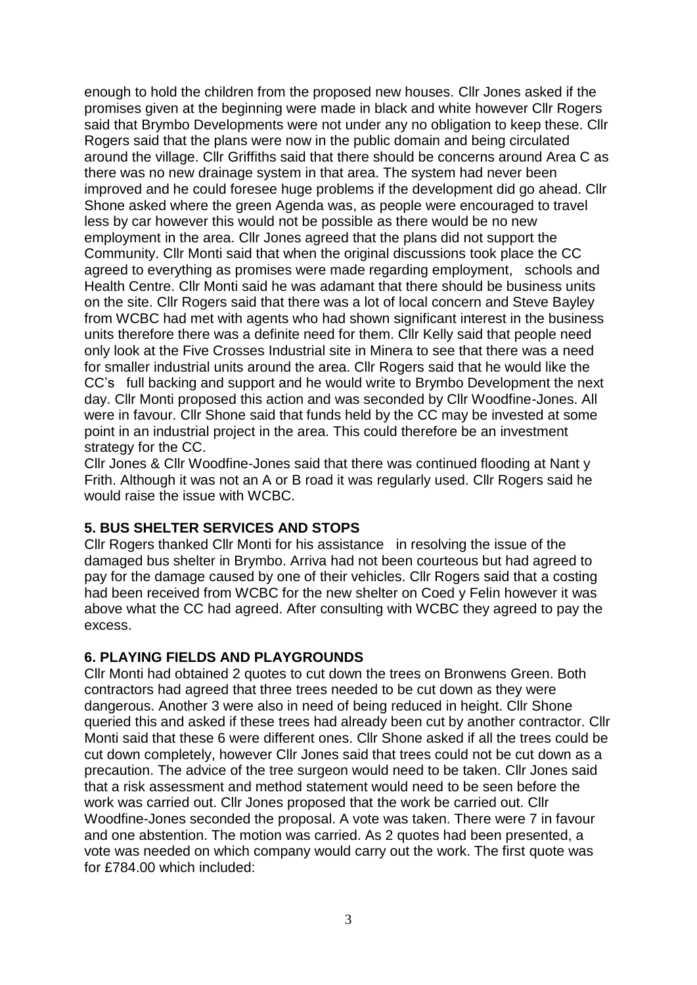enough to hold the children from the proposed new houses. Cllr Jones asked if the promises given at the beginning were made in black and white however Cllr Rogers said that Brymbo Developments were not under any no obligation to keep these. Cllr Rogers said that the plans were now in the public domain and being circulated around the village. Cllr Griffiths said that there should be concerns around Area C as there was no new drainage system in that area. The system had never been improved and he could foresee huge problems if the development did go ahead. Cllr Shone asked where the green Agenda was, as people were encouraged to travel less by car however this would not be possible as there would be no new employment in the area. Cllr Jones agreed that the plans did not support the Community. Cllr Monti said that when the original discussions took place the CC agreed to everything as promises were made regarding employment, schools and Health Centre. Cllr Monti said he was adamant that there should be business units on the site. Cllr Rogers said that there was a lot of local concern and Steve Bayley from WCBC had met with agents who had shown significant interest in the business units therefore there was a definite need for them. Cllr Kelly said that people need only look at the Five Crosses Industrial site in Minera to see that there was a need for smaller industrial units around the area. Cllr Rogers said that he would like the CC's full backing and support and he would write to Brymbo Development the next day. Cllr Monti proposed this action and was seconded by Cllr Woodfine-Jones. All were in favour. Cllr Shone said that funds held by the CC may be invested at some point in an industrial project in the area. This could therefore be an investment strategy for the CC.

Cllr Jones & Cllr Woodfine-Jones said that there was continued flooding at Nant y Frith. Although it was not an A or B road it was regularly used. Cllr Rogers said he would raise the issue with WCBC.

#### **5. BUS SHELTER SERVICES AND STOPS**

Cllr Rogers thanked Cllr Monti for his assistance in resolving the issue of the damaged bus shelter in Brymbo. Arriva had not been courteous but had agreed to pay for the damage caused by one of their vehicles. Cllr Rogers said that a costing had been received from WCBC for the new shelter on Coed y Felin however it was above what the CC had agreed. After consulting with WCBC they agreed to pay the excess.

#### **6. PLAYING FIELDS AND PLAYGROUNDS**

Cllr Monti had obtained 2 quotes to cut down the trees on Bronwens Green. Both contractors had agreed that three trees needed to be cut down as they were dangerous. Another 3 were also in need of being reduced in height. Cllr Shone queried this and asked if these trees had already been cut by another contractor. Cllr Monti said that these 6 were different ones. Cllr Shone asked if all the trees could be cut down completely, however Cllr Jones said that trees could not be cut down as a precaution. The advice of the tree surgeon would need to be taken. Cllr Jones said that a risk assessment and method statement would need to be seen before the work was carried out. Cllr Jones proposed that the work be carried out. Cllr Woodfine-Jones seconded the proposal. A vote was taken. There were 7 in favour and one abstention. The motion was carried. As 2 quotes had been presented, a vote was needed on which company would carry out the work. The first quote was for £784.00 which included: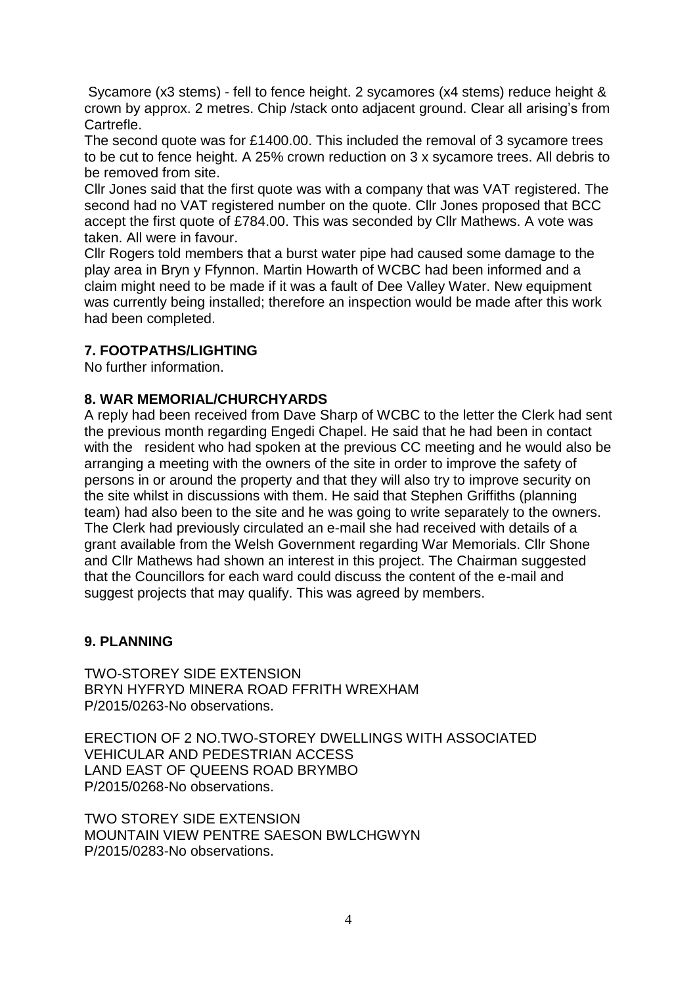Sycamore (x3 stems) - fell to fence height. 2 sycamores (x4 stems) reduce height & crown by approx. 2 metres. Chip /stack onto adjacent ground. Clear all arising's from Cartrefle.

The second quote was for £1400.00. This included the removal of 3 sycamore trees to be cut to fence height. A 25% crown reduction on 3 x sycamore trees. All debris to be removed from site.

Cllr Jones said that the first quote was with a company that was VAT registered. The second had no VAT registered number on the quote. Cllr Jones proposed that BCC accept the first quote of £784.00. This was seconded by Cllr Mathews. A vote was taken. All were in favour.

Cllr Rogers told members that a burst water pipe had caused some damage to the play area in Bryn y Ffynnon. Martin Howarth of WCBC had been informed and a claim might need to be made if it was a fault of Dee Valley Water. New equipment was currently being installed; therefore an inspection would be made after this work had been completed.

#### **7. FOOTPATHS/LIGHTING**

No further information.

#### **8. WAR MEMORIAL/CHURCHYARDS**

A reply had been received from Dave Sharp of WCBC to the letter the Clerk had sent the previous month regarding Engedi Chapel. He said that he had been in contact with the resident who had spoken at the previous CC meeting and he would also be arranging a meeting with the owners of the site in order to improve the safety of persons in or around the property and that they will also try to improve security on the site whilst in discussions with them. He said that Stephen Griffiths (planning team) had also been to the site and he was going to write separately to the owners. The Clerk had previously circulated an e-mail she had received with details of a grant available from the Welsh Government regarding War Memorials. Cllr Shone and Cllr Mathews had shown an interest in this project. The Chairman suggested that the Councillors for each ward could discuss the content of the e-mail and suggest projects that may qualify. This was agreed by members.

#### **9. PLANNING**

TWO-STOREY SIDE EXTENSION BRYN HYFRYD MINERA ROAD FFRITH WREXHAM P/2015/0263-No observations.

ERECTION OF 2 NO.TWO-STOREY DWELLINGS WITH ASSOCIATED VEHICULAR AND PEDESTRIAN ACCESS LAND EAST OF QUEENS ROAD BRYMBO P/2015/0268-No observations.

TWO STOREY SIDE EXTENSION MOUNTAIN VIEW PENTRE SAESON BWLCHGWYN P/2015/0283-No observations.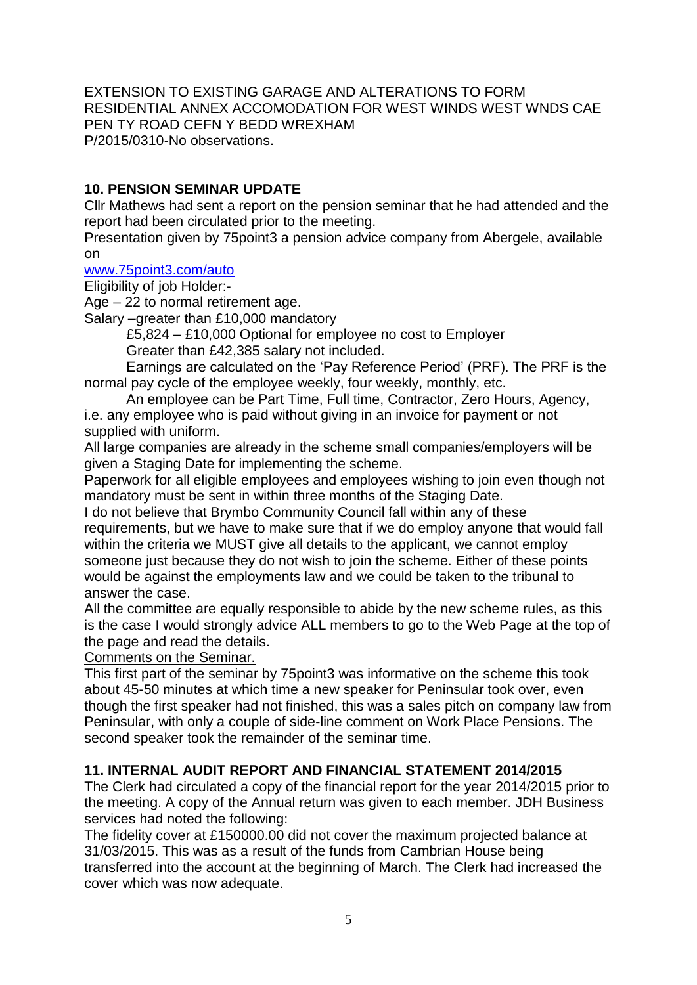EXTENSION TO EXISTING GARAGE AND ALTERATIONS TO FORM RESIDENTIAL ANNEX ACCOMODATION FOR WEST WINDS WEST WNDS CAE PEN TY ROAD CEFN Y BEDD WREXHAM P/2015/0310-No observations.

# **10. PENSION SEMINAR UPDATE**

Cllr Mathews had sent a report on the pension seminar that he had attended and the report had been circulated prior to the meeting.

Presentation given by 75point3 a pension advice company from Abergele, available on

#### [www.75point3.com/auto](http://www.75point3.com/auto)

Eligibility of job Holder:-

Age – 22 to normal retirement age.

Salary –greater than £10,000 mandatory

£5,824 – £10,000 Optional for employee no cost to Employer Greater than £42,385 salary not included.

Earnings are calculated on the 'Pay Reference Period' (PRF). The PRF is the normal pay cycle of the employee weekly, four weekly, monthly, etc.

An employee can be Part Time, Full time, Contractor, Zero Hours, Agency, i.e. any employee who is paid without giving in an invoice for payment or not supplied with uniform.

All large companies are already in the scheme small companies/employers will be given a Staging Date for implementing the scheme.

Paperwork for all eligible employees and employees wishing to join even though not mandatory must be sent in within three months of the Staging Date.

I do not believe that Brymbo Community Council fall within any of these requirements, but we have to make sure that if we do employ anyone that would fall within the criteria we MUST give all details to the applicant, we cannot employ someone just because they do not wish to join the scheme. Either of these points would be against the employments law and we could be taken to the tribunal to answer the case.

All the committee are equally responsible to abide by the new scheme rules, as this is the case I would strongly advice ALL members to go to the Web Page at the top of the page and read the details.

Comments on the Seminar.

This first part of the seminar by 75point3 was informative on the scheme this took about 45-50 minutes at which time a new speaker for Peninsular took over, even though the first speaker had not finished, this was a sales pitch on company law from Peninsular, with only a couple of side-line comment on Work Place Pensions. The second speaker took the remainder of the seminar time.

#### **11. INTERNAL AUDIT REPORT AND FINANCIAL STATEMENT 2014/2015**

The Clerk had circulated a copy of the financial report for the year 2014/2015 prior to the meeting. A copy of the Annual return was given to each member. JDH Business services had noted the following:

The fidelity cover at £150000.00 did not cover the maximum projected balance at 31/03/2015. This was as a result of the funds from Cambrian House being transferred into the account at the beginning of March. The Clerk had increased the cover which was now adequate.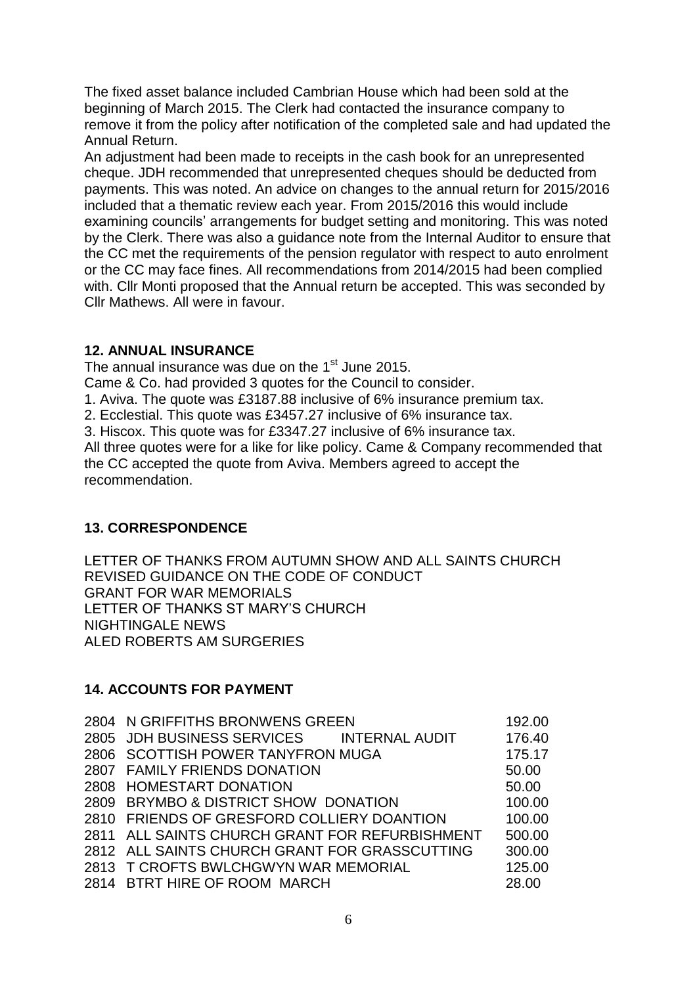The fixed asset balance included Cambrian House which had been sold at the beginning of March 2015. The Clerk had contacted the insurance company to remove it from the policy after notification of the completed sale and had updated the Annual Return.

An adjustment had been made to receipts in the cash book for an unrepresented cheque. JDH recommended that unrepresented cheques should be deducted from payments. This was noted. An advice on changes to the annual return for 2015/2016 included that a thematic review each year. From 2015/2016 this would include examining councils' arrangements for budget setting and monitoring. This was noted by the Clerk. There was also a guidance note from the Internal Auditor to ensure that the CC met the requirements of the pension regulator with respect to auto enrolment or the CC may face fines. All recommendations from 2014/2015 had been complied with. Cllr Monti proposed that the Annual return be accepted. This was seconded by Cllr Mathews. All were in favour.

## **12. ANNUAL INSURANCE**

The annual insurance was due on the  $1<sup>st</sup>$  June 2015.

Came & Co. had provided 3 quotes for the Council to consider.

1. Aviva. The quote was £3187.88 inclusive of 6% insurance premium tax.

2. Ecclestial. This quote was £3457.27 inclusive of 6% insurance tax.

3. Hiscox. This quote was for £3347.27 inclusive of 6% insurance tax.

All three quotes were for a like for like policy. Came & Company recommended that the CC accepted the quote from Aviva. Members agreed to accept the recommendation.

# **13. CORRESPONDENCE**

LETTER OF THANKS FROM AUTUMN SHOW AND ALL SAINTS CHURCH REVISED GUIDANCE ON THE CODE OF CONDUCT GRANT FOR WAR MEMORIALS LETTER OF THANKS ST MARY'S CHURCH NIGHTINGALE NEWS ALED ROBERTS AM SURGERIES

# **14. ACCOUNTS FOR PAYMENT**

| 2804 N GRIFFITHS BRONWENS GREEN                | 192.00 |
|------------------------------------------------|--------|
| 2805 JDH BUSINESS SERVICES INTERNAL AUDIT      | 176.40 |
| 2806 SCOTTISH POWER TANYFRON MUGA              | 175.17 |
| 2807 FAMILY FRIENDS DONATION                   | 50.00  |
| 2808 HOMESTART DONATION                        | 50.00  |
| 2809 BRYMBO & DISTRICT SHOW DONATION           | 100.00 |
| 2810 FRIENDS OF GRESFORD COLLIERY DOANTION     | 100.00 |
| 2811 ALL SAINTS CHURCH GRANT FOR REFURBISHMENT | 500.00 |
| 2812 ALL SAINTS CHURCH GRANT FOR GRASSCUTTING  | 300.00 |
| 2813 T CROFTS BWLCHGWYN WAR MEMORIAL           | 125.00 |
| 2814 BTRT HIRE OF ROOM MARCH                   | 28.00  |